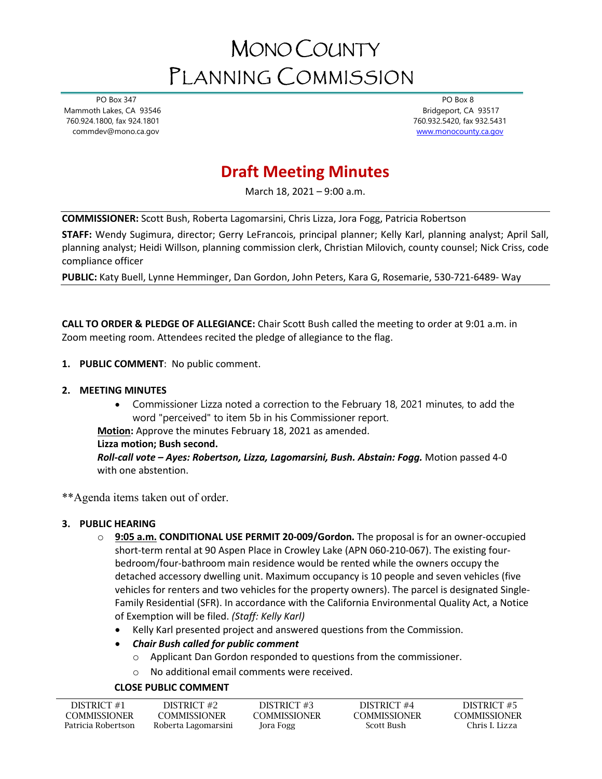# MONO COUNTY PLANNING COMMISSION

 PO Box 347 Mammoth Lakes, CA 93546 760.924.1800, fax 924.1801 commdev@mono.ca.gov

 PO Box 8 Bridgeport, CA 93517 760.932.5420, fax 932.5431 [www.monocounty.ca.gov](http://www.monocounty.ca.gov/) 

# **Draft Meeting Minutes**

March 18, 2021 – 9:00 a.m.

**COMMISSIONER:** Scott Bush, Roberta Lagomarsini, Chris Lizza, Jora Fogg, Patricia Robertson

**STAFF:** Wendy Sugimura, director; Gerry LeFrancois, principal planner; Kelly Karl, planning analyst; April Sall, planning analyst; Heidi Willson, planning commission clerk, Christian Milovich, county counsel; Nick Criss, code compliance officer

**PUBLIC:** Katy Buell, Lynne Hemminger, Dan Gordon, John Peters, Kara G, Rosemarie, 530-721-6489- Way

**CALL TO ORDER & PLEDGE OF ALLEGIANCE:** Chair Scott Bush called the meeting to order at 9:01 a.m. in Zoom meeting room. Attendees recited the pledge of allegiance to the flag.

- **1. PUBLIC COMMENT**: No public comment.
- **2. MEETING MINUTES**
	- Commissioner Lizza noted a correction to the February 18, 2021 minutes, to add the word "perceived" to item 5b in his Commissioner report.

**Motion:** Approve the minutes February 18, 2021 as amended.

#### **Lizza motion; Bush second.**

*Roll-call vote – Ayes: Robertson, Lizza, Lagomarsini, Bush. Abstain: Fogg.* Motion passed 4-0 with one abstention.

\*\*Agenda items taken out of order.

#### **3. PUBLIC HEARING**

- o **9:05 a.m. CONDITIONAL USE PERMIT 20-009/Gordon.** The proposal is for an owner-occupied short-term rental at 90 Aspen Place in Crowley Lake (APN 060-210-067). The existing fourbedroom/four-bathroom main residence would be rented while the owners occupy the detached accessory dwelling unit. Maximum occupancy is 10 people and seven vehicles (five vehicles for renters and two vehicles for the property owners). The parcel is designated Single-Family Residential (SFR). In accordance with the California Environmental Quality Act, a Notice of Exemption will be filed. *(Staff: Kelly Karl)*
	- Kelly Karl presented project and answered questions from the Commission.
	- *Chair Bush called for public comment* 
		- o Applicant Dan Gordon responded to questions from the commissioner.
		- o No additional email comments were received.

## **CLOSE PUBLIC COMMENT**

| DISTRICT #1        | DISTRICT #2         | DISTRICT #3  | DISTRICT #4         | DISTRICT #5         |
|--------------------|---------------------|--------------|---------------------|---------------------|
| COMMISSIONER       | <b>COMMISSIONER</b> | COMMISSIONER | <b>COMMISSIONER</b> | <b>COMMISSIONER</b> |
| Patricia Robertson | Roberta Lagomarsini | Jora Fogg    | Scott Bush          | Chris I. Lizza      |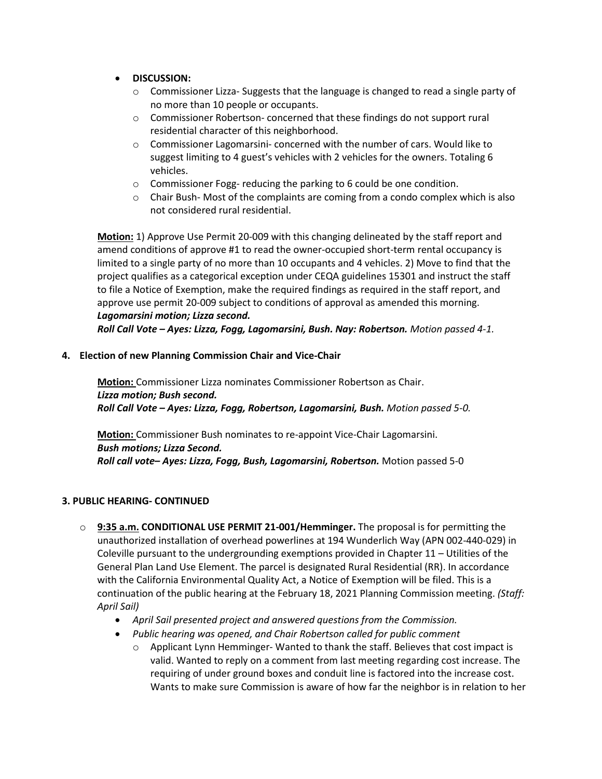- **DISCUSSION:**
	- o Commissioner Lizza- Suggests that the language is changed to read a single party of no more than 10 people or occupants.
	- o Commissioner Robertson- concerned that these findings do not support rural residential character of this neighborhood.
	- $\circ$  Commissioner Lagomarsini- concerned with the number of cars. Would like to suggest limiting to 4 guest's vehicles with 2 vehicles for the owners. Totaling 6 vehicles.
	- o Commissioner Fogg- reducing the parking to 6 could be one condition.
	- $\circ$  Chair Bush- Most of the complaints are coming from a condo complex which is also not considered rural residential.

**Motion:** 1) Approve Use Permit 20-009 with this changing delineated by the staff report and amend conditions of approve #1 to read the owner-occupied short-term rental occupancy is limited to a single party of no more than 10 occupants and 4 vehicles. 2) Move to find that the project qualifies as a categorical exception under CEQA guidelines 15301 and instruct the staff to file a Notice of Exemption, make the required findings as required in the staff report, and approve use permit 20-009 subject to conditions of approval as amended this morning. *Lagomarsini motion; Lizza second.* 

*Roll Call Vote – Ayes: Lizza, Fogg, Lagomarsini, Bush. Nay: Robertson. Motion passed 4-1.*

**4. Election of new Planning Commission Chair and Vice-Chair**

**Motion:** Commissioner Lizza nominates Commissioner Robertson as Chair. *Lizza motion; Bush second. Roll Call Vote – Ayes: Lizza, Fogg, Robertson, Lagomarsini, Bush. Motion passed 5-0.*

**Motion:** Commissioner Bush nominates to re-appoint Vice-Chair Lagomarsini. *Bush motions; Lizza Second. Roll call vote– Ayes: Lizza, Fogg, Bush, Lagomarsini, Robertson.* Motion passed 5-0

## **3. PUBLIC HEARING- CONTINUED**

- o **9:35 a.m. CONDITIONAL USE PERMIT 21-001/Hemminger.** The proposal is for permitting the unauthorized installation of overhead powerlines at 194 Wunderlich Way (APN 002-440-029) in Coleville pursuant to the undergrounding exemptions provided in Chapter 11 – Utilities of the General Plan Land Use Element. The parcel is designated Rural Residential (RR). In accordance with the California Environmental Quality Act, a Notice of Exemption will be filed. This is a continuation of the public hearing at the February 18, 2021 Planning Commission meeting. *(Staff: April Sail)*
	- *April Sail presented project and answered questions from the Commission.*
	- *Public hearing was opened, and Chair Robertson called for public comment*
		- $\circ$  Applicant Lynn Hemminger-Wanted to thank the staff. Believes that cost impact is valid. Wanted to reply on a comment from last meeting regarding cost increase. The requiring of under ground boxes and conduit line is factored into the increase cost. Wants to make sure Commission is aware of how far the neighbor is in relation to her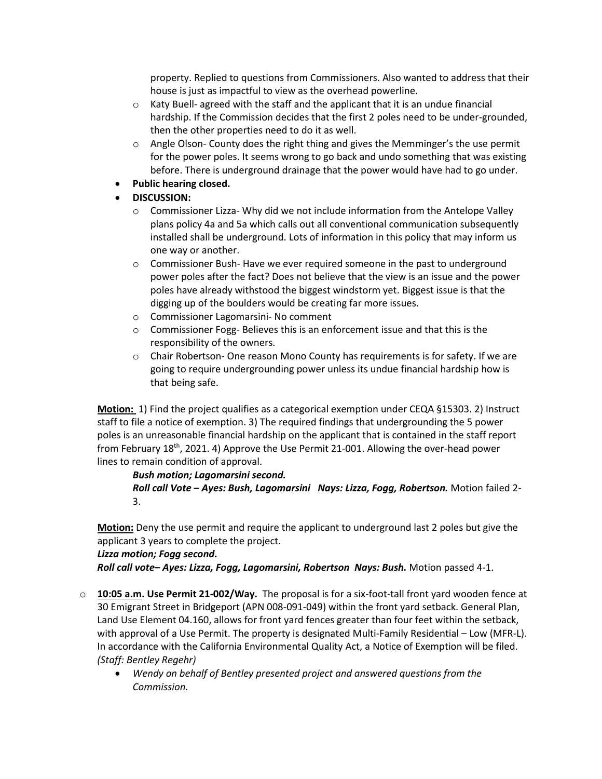property. Replied to questions from Commissioners. Also wanted to address that their house is just as impactful to view as the overhead powerline.

- $\circ$  Katy Buell- agreed with the staff and the applicant that it is an undue financial hardship. If the Commission decides that the first 2 poles need to be under-grounded, then the other properties need to do it as well.
- o Angle Olson- County does the right thing and gives the Memminger's the use permit for the power poles. It seems wrong to go back and undo something that was existing before. There is underground drainage that the power would have had to go under.
- **Public hearing closed.**
- **DISCUSSION:**
	- o Commissioner Lizza- Why did we not include information from the Antelope Valley plans policy 4a and 5a which calls out all conventional communication subsequently installed shall be underground. Lots of information in this policy that may inform us one way or another.
	- o Commissioner Bush- Have we ever required someone in the past to underground power poles after the fact? Does not believe that the view is an issue and the power poles have already withstood the biggest windstorm yet. Biggest issue is that the digging up of the boulders would be creating far more issues.
	- o Commissioner Lagomarsini- No comment
	- o Commissioner Fogg- Believes this is an enforcement issue and that this is the responsibility of the owners.
	- o Chair Robertson- One reason Mono County has requirements is for safety. If we are going to require undergrounding power unless its undue financial hardship how is that being safe.

**Motion:** 1) Find the project qualifies as a categorical exemption under CEQA §15303. 2) Instruct staff to file a notice of exemption. 3) The required findings that undergrounding the 5 power poles is an unreasonable financial hardship on the applicant that is contained in the staff report from February 18<sup>th</sup>, 2021. 4) Approve the Use Permit 21-001. Allowing the over-head power lines to remain condition of approval.

# *Bush motion; Lagomarsini second. Roll call Vote – Ayes: Bush, Lagomarsini Nays: Lizza, Fogg, Robertson.* Motion failed 2- 3.

**Motion:** Deny the use permit and require the applicant to underground last 2 poles but give the applicant 3 years to complete the project.

## *Lizza motion; Fogg second.*

*Roll call vote– Ayes: Lizza, Fogg, Lagomarsini, Robertson Nays: Bush.* Motion passed 4-1.

- o **10:05 a.m. Use Permit 21-002/Way.** The proposal is for a six-foot-tall front yard wooden fence at 30 Emigrant Street in Bridgeport (APN 008-091-049) within the front yard setback. General Plan, Land Use Element 04.160, allows for front yard fences greater than four feet within the setback, with approval of a Use Permit. The property is designated Multi-Family Residential – Low (MFR-L). In accordance with the California Environmental Quality Act, a Notice of Exemption will be filed. *(Staff: Bentley Regehr)*
	- *Wendy on behalf of Bentley presented project and answered questions from the Commission.*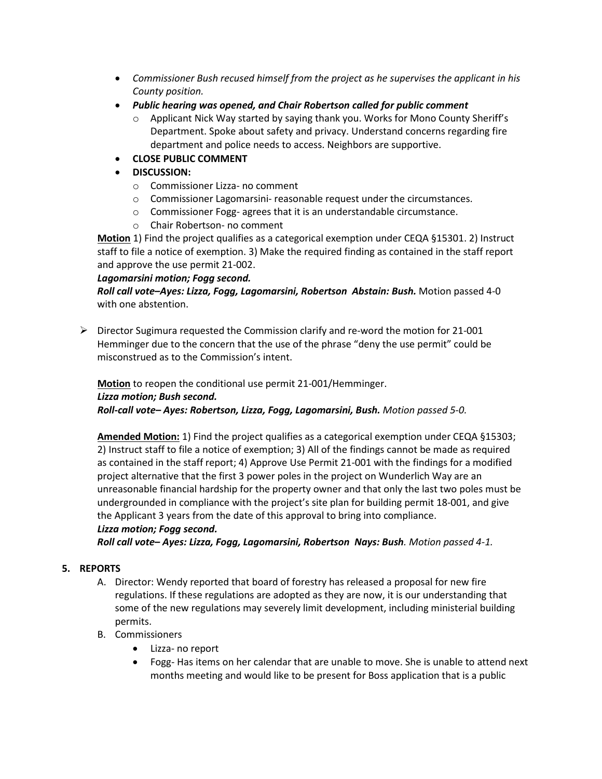- *Commissioner Bush recused himself from the project as he supervises the applicant in his County position.*
- *Public hearing was opened, and Chair Robertson called for public comment*
	- o Applicant Nick Way started by saying thank you. Works for Mono County Sheriff's Department. Spoke about safety and privacy. Understand concerns regarding fire department and police needs to access. Neighbors are supportive.
- **CLOSE PUBLIC COMMENT**
- **DISCUSSION:**
	- o Commissioner Lizza- no comment
	- o Commissioner Lagomarsini- reasonable request under the circumstances.
	- o Commissioner Fogg- agrees that it is an understandable circumstance.
	- o Chair Robertson- no comment

**Motion** 1) Find the project qualifies as a categorical exemption under CEQA §15301. 2) Instruct staff to file a notice of exemption. 3) Make the required finding as contained in the staff report and approve the use permit 21-002.

#### *Lagomarsini motion; Fogg second.*

*Roll call vote–Ayes: Lizza, Fogg, Lagomarsini, Robertson Abstain: Bush.* Motion passed 4-0 with one abstention.

 $\triangleright$  Director Sugimura requested the Commission clarify and re-word the motion for 21-001 Hemminger due to the concern that the use of the phrase "deny the use permit" could be misconstrued as to the Commission's intent.

**Motion** to reopen the conditional use permit 21-001/Hemminger. *Lizza motion; Bush second. Roll-call vote– Ayes: Robertson, Lizza, Fogg, Lagomarsini, Bush. Motion passed 5-0.*

**Amended Motion:** 1) Find the project qualifies as a categorical exemption under CEQA §15303; 2) Instruct staff to file a notice of exemption; 3) All of the findings cannot be made as required as contained in the staff report; 4) Approve Use Permit 21-001 with the findings for a modified project alternative that the first 3 power poles in the project on Wunderlich Way are an unreasonable financial hardship for the property owner and that only the last two poles must be undergrounded in compliance with the project's site plan for building permit 18-001, and give the Applicant 3 years from the date of this approval to bring into compliance. *Lizza motion; Fogg second.*

*Roll call vote– Ayes: Lizza, Fogg, Lagomarsini, Robertson Nays: Bush. Motion passed 4-1.*

## **5. REPORTS**

- A. Director: Wendy reported that board of forestry has released a proposal for new fire regulations. If these regulations are adopted as they are now, it is our understanding that some of the new regulations may severely limit development, including ministerial building permits.
- B. Commissioners
	- Lizza- no report
	- Fogg- Has items on her calendar that are unable to move. She is unable to attend next months meeting and would like to be present for Boss application that is a public